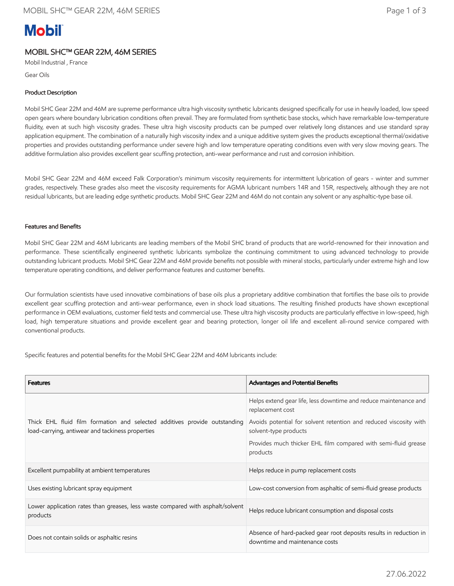# **Mobil**

## MOBIL SHC™ GEAR 22M, 46M SERIES

Mobil Industrial , France

Gear Oils

## Product Description

Mobil SHC Gear 22M and 46M are supreme performance ultra high viscosity synthetic lubricants designed specifically for use in heavily loaded, low speed open gears where boundary lubrication conditions often prevail. They are formulated from synthetic base stocks, which have remarkable low-temperature fluidity, even at such high viscosity grades. These ultra high viscosity products can be pumped over relatively long distances and use standard spray application equipment. The combination of a naturally high viscosity index and a unique additive system gives the products exceptional thermal/oxidative properties and provides outstanding performance under severe high and low temperature operating conditions even with very slow moving gears. The additive formulation also provides excellent gear scuffing protection, anti-wear performance and rust and corrosion inhibition.

Mobil SHC Gear 22M and 46M exceed Falk Corporation's minimum viscosity requirements for intermittent lubrication of gears - winter and summer grades, respectively. These grades also meet the viscosity requirements for AGMA lubricant numbers 14R and 15R, respectively, although they are not residual lubricants, but are leading edge synthetic products. Mobil SHC Gear 22M and 46M do not contain any solvent or any asphaltic-type base oil.

## Features and Benefits

Mobil SHC Gear 22M and 46M lubricants are leading members of the Mobil SHC brand of products that are world-renowned for their innovation and performance. These scientifically engineered synthetic lubricants symbolize the continuing commitment to using advanced technology to provide outstanding lubricant products. Mobil SHC Gear 22M and 46M provide benefits not possible with mineral stocks, particularly under extreme high and low temperature operating conditions, and deliver performance features and customer benefits.

Our formulation scientists have used innovative combinations of base oils plus a proprietary additive combination that fortifies the base oils to provide excellent gear scuffing protection and anti-wear performance, even in shock load situations. The resulting finished products have shown exceptional performance in OEM evaluations, customer field tests and commercial use. These ultra high viscosity products are particularly effective in low-speed, high load, high temperature situations and provide excellent gear and bearing protection, longer oil life and excellent all-round service compared with conventional products.

Specific features and potential benefits for the Mobil SHC Gear 22M and 46M lubricants include:

| <b>Features</b>                                                                                                               | <b>Advantages and Potential Benefits</b>                                                            |
|-------------------------------------------------------------------------------------------------------------------------------|-----------------------------------------------------------------------------------------------------|
| Thick EHL fluid film formation and selected additives provide outstanding<br>load-carrying, antiwear and tackiness properties | Helps extend gear life, less downtime and reduce maintenance and<br>replacement cost                |
|                                                                                                                               | Avoids potential for solvent retention and reduced viscosity with<br>solvent-type products          |
|                                                                                                                               | Provides much thicker EHL film compared with semi-fluid grease<br>products                          |
| Excellent pumpability at ambient temperatures                                                                                 | Helps reduce in pump replacement costs                                                              |
| Uses existing lubricant spray equipment                                                                                       | Low-cost conversion from asphaltic of semi-fluid grease products                                    |
| Lower application rates than greases, less waste compared with asphalt/solvent<br>products                                    | Helps reduce lubricant consumption and disposal costs                                               |
| Does not contain solids or asphaltic resins                                                                                   | Absence of hard-packed gear root deposits results in reduction in<br>downtime and maintenance costs |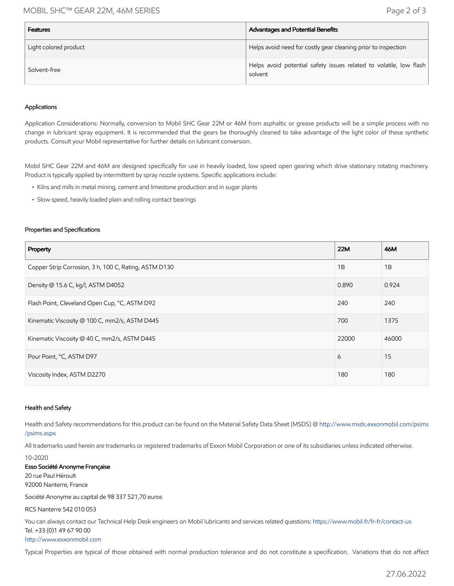## MOBIL SHC™ GEAR 22M, 46M SERIES Page 2 of 3

| <b>Features</b>       | Advantages and Potential Benefits                                             |
|-----------------------|-------------------------------------------------------------------------------|
| Light colored product | Helps avoid need for costly gear cleaning prior to inspection                 |
| Solvent-free          | Helps avoid potential safety issues related to volatile, low flash<br>solvent |

#### Applications

Application Considerations: Normally, conversion to Mobil SHC Gear 22M or 46M from asphaltic or grease products will be a simple process with no change in lubricant spray equipment. It is recommended that the gears be thoroughly cleaned to take advantage of the light color of these synthetic products. Consult your Mobil representative for further details on lubricant conversion.

Mobil SHC Gear 22M and 46M are designed specifically for use in heavily loaded, low speed open gearing which drive stationary rotating machinery. Product is typically applied by intermittent by spray nozzle systems. Specific applications include:

- Kilns and mills in metal mining, cement and limestone production and in sugar plants
- Slow speed, heavily loaded plain and rolling contact bearings

#### Properties and Specifications

| Property                                              | 22M   | 46M   |
|-------------------------------------------------------|-------|-------|
| Copper Strip Corrosion, 3 h, 100 C, Rating, ASTM D130 | 1B    | 1B    |
| Density @ 15.6 C, kg/l, ASTM D4052                    | 0.890 | 0.924 |
| Flash Point, Cleveland Open Cup, °C, ASTM D92         | 240   | 240   |
| Kinematic Viscosity @ 100 C, mm2/s, ASTM D445         | 700   | 1375  |
| Kinematic Viscosity @ 40 C, mm2/s, ASTM D445          | 22000 | 46000 |
| Pour Point, °C, ASTM D97                              | 6     | 15    |
| Viscosity Index, ASTM D2270                           | 180   | 180   |

#### Health and Safety

Health and Safety recommendations for this product can be found on the Material Safety Data Sheet (MSDS) @ [http://www.msds.exxonmobil.com/psims](http://www.msds.exxonmobil.com/psims/psims.aspx) /psims.aspx

All trademarks used herein are trademarks or registered trademarks of Exxon Mobil Corporation or one of its subsidiaries unless indicated otherwise.

10-2020 Esso Société Anonyme Française 20 rue Paul Héroult 92000 Nanterre, France

Société Anonyme au capital de 98 337 521,70 euros

RCS Nanterre 542 010 053

You can always contact our Technical Help Desk engineers on Mobil lubricants and services related questions:<https://www.mobil.fr/fr-fr/contact-us> Tel. +33 (0)1 49 67 90 00 [http://www.exxonmobil.com](http://www.exxonmobil.com/)

Typical Properties are typical of those obtained with normal production tolerance and do not constitute a specification. Variations that do not affect